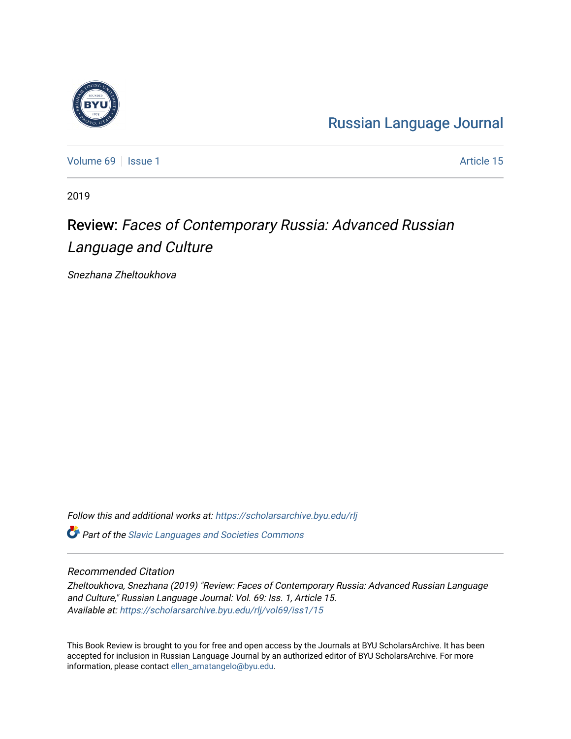## [Russian Language Journal](https://scholarsarchive.byu.edu/rlj)

[Volume 69](https://scholarsarchive.byu.edu/rlj/vol69) | [Issue 1](https://scholarsarchive.byu.edu/rlj/vol69/iss1) Article 15

2019

## Review: Faces of Contemporary Russia: Advanced Russian Language and Culture

Snezhana Zheltoukhova

Follow this and additional works at: [https://scholarsarchive.byu.edu/rlj](https://scholarsarchive.byu.edu/rlj?utm_source=scholarsarchive.byu.edu%2Frlj%2Fvol69%2Fiss1%2F15&utm_medium=PDF&utm_campaign=PDFCoverPages) **C** Part of the Slavic Languages and Societies Commons

## Recommended Citation

Zheltoukhova, Snezhana (2019) "Review: Faces of Contemporary Russia: Advanced Russian Language and Culture," Russian Language Journal: Vol. 69: Iss. 1, Article 15. Available at: [https://scholarsarchive.byu.edu/rlj/vol69/iss1/15](https://scholarsarchive.byu.edu/rlj/vol69/iss1/15?utm_source=scholarsarchive.byu.edu%2Frlj%2Fvol69%2Fiss1%2F15&utm_medium=PDF&utm_campaign=PDFCoverPages)

This Book Review is brought to you for free and open access by the Journals at BYU ScholarsArchive. It has been accepted for inclusion in Russian Language Journal by an authorized editor of BYU ScholarsArchive. For more information, please contact [ellen\\_amatangelo@byu.edu.](mailto:ellen_amatangelo@byu.edu)

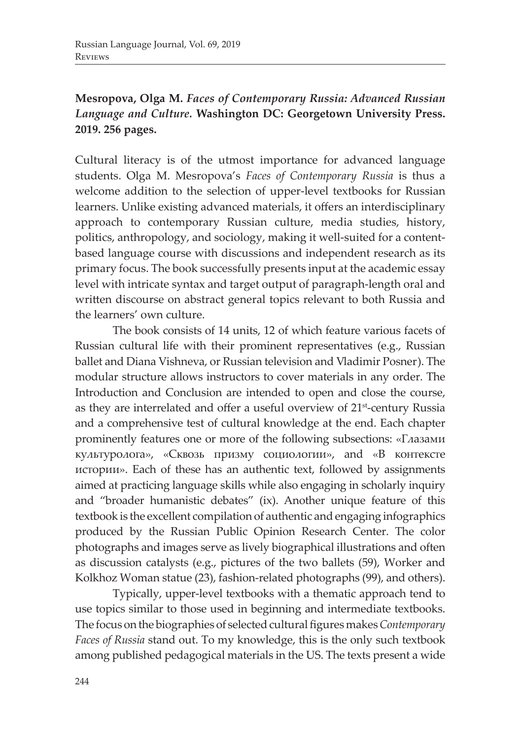## **Mesropova, Olga M.** *Faces of Contemporary Russia: Advanced Russian Language and Culture.* **Washington DC: Georgetown University Press. 2019. 256 pages.**

Cultural literacy is of the utmost importance for advanced language students. Olga M. Mesropova's *Faces of Contemporary Russia* is thus a welcome addition to the selection of upper-level textbooks for Russian learners. Unlike existing advanced materials, it offers an interdisciplinary approach to contemporary Russian culture, media studies, history, politics, anthropology, and sociology, making it well-suited for a contentbased language course with discussions and independent research as its primary focus. The book successfully presents input at the academic essay level with intricate syntax and target output of paragraph-length oral and written discourse on abstract general topics relevant to both Russia and the learners' own culture.

The book consists of 14 units, 12 of which feature various facets of Russian cultural life with their prominent representatives (e.g., Russian ballet and Diana Vishneva, or Russian television and Vladimir Posner). The modular structure allows instructors to cover materials in any order. The Introduction and Conclusion are intended to open and close the course, as they are interrelated and offer a useful overview of 21st-century Russia and a comprehensive test of cultural knowledge at the end. Each chapter prominently features one or more of the following subsections: «Глазами культуролога», «Сквозь призму социологии», and «В контексте истории». Each of these has an authentic text, followed by assignments aimed at practicing language skills while also engaging in scholarly inquiry and "broader humanistic debates" (ix). Another unique feature of this textbook is the excellent compilation of authentic and engaging infographics produced by the Russian Public Opinion Research Center. The color photographs and images serve as lively biographical illustrations and often as discussion catalysts (e.g., pictures of the two ballets (59), Worker and Kolkhoz Woman statue (23), fashion-related photographs (99), and others).

Typically, upper-level textbooks with a thematic approach tend to use topics similar to those used in beginning and intermediate textbooks. The focus on the biographies of selected cultural figures makes *Contemporary Faces of Russia* stand out. To my knowledge, this is the only such textbook among published pedagogical materials in the US. The texts present a wide